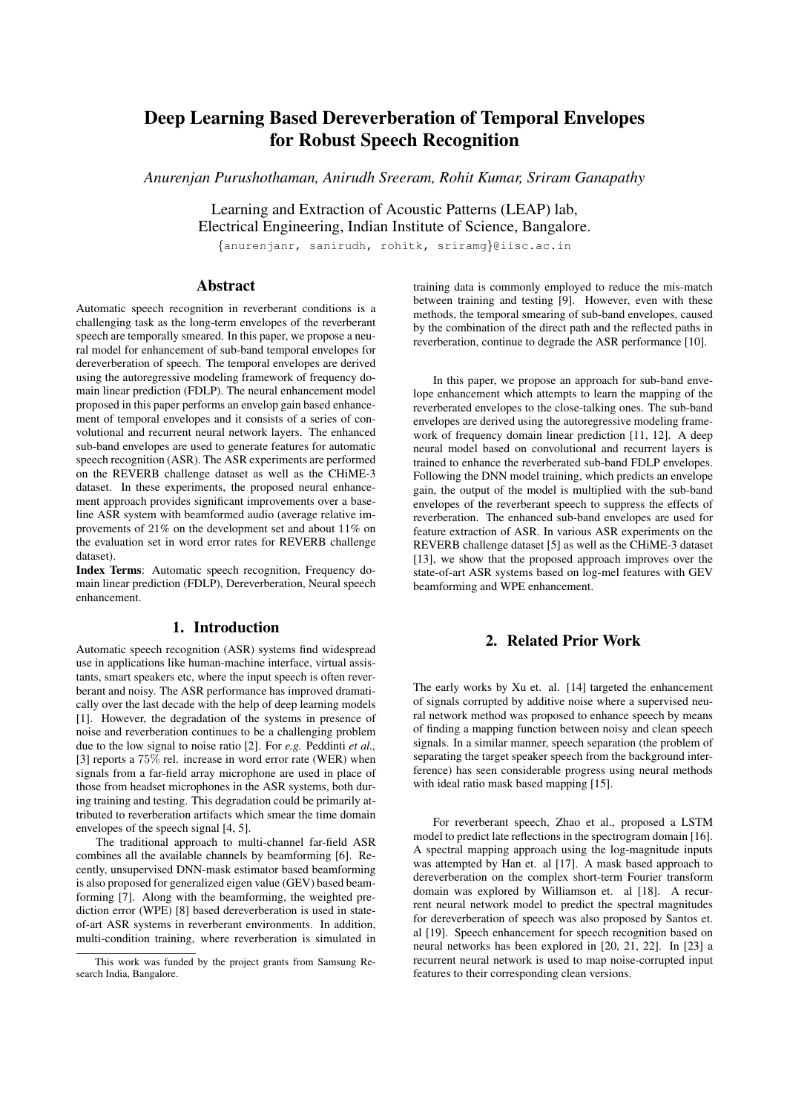# Deep Learning Based Dereverberation of Temporal Envelopes for Robust Speech Recognition

*Anurenjan Purushothaman, Anirudh Sreeram, Rohit Kumar, Sriram Ganapathy*

Learning and Extraction of Acoustic Patterns (LEAP) lab, Electrical Engineering, Indian Institute of Science, Bangalore.

{anurenjanr, sanirudh, rohitk, sriramg}@iisc.ac.in

## Abstract

Automatic speech recognition in reverberant conditions is a challenging task as the long-term envelopes of the reverberant speech are temporally smeared. In this paper, we propose a neural model for enhancement of sub-band temporal envelopes for dereverberation of speech. The temporal envelopes are derived using the autoregressive modeling framework of frequency domain linear prediction (FDLP). The neural enhancement model proposed in this paper performs an envelop gain based enhancement of temporal envelopes and it consists of a series of convolutional and recurrent neural network layers. The enhanced sub-band envelopes are used to generate features for automatic speech recognition (ASR). The ASR experiments are performed on the REVERB challenge dataset as well as the CHiME-3 dataset. In these experiments, the proposed neural enhancement approach provides significant improvements over a baseline ASR system with beamformed audio (average relative improvements of 21% on the development set and about 11% on the evaluation set in word error rates for REVERB challenge dataset).

Index Terms: Automatic speech recognition, Frequency domain linear prediction (FDLP), Dereverberation, Neural speech enhancement.

# 1. Introduction

Automatic speech recognition (ASR) systems find widespread use in applications like human-machine interface, virtual assistants, smart speakers etc, where the input speech is often reverberant and noisy. The ASR performance has improved dramatically over the last decade with the help of deep learning models [1]. However, the degradation of the systems in presence of noise and reverberation continues to be a challenging problem due to the low signal to noise ratio [2]. For *e.g.* Peddinti *et al.,* [3] reports a  $75\%$  rel. increase in word error rate (WER) when signals from a far-field array microphone are used in place of those from headset microphones in the ASR systems, both during training and testing. This degradation could be primarily attributed to reverberation artifacts which smear the time domain envelopes of the speech signal [4, 5].

The traditional approach to multi-channel far-field ASR combines all the available channels by beamforming [6]. Recently, unsupervised DNN-mask estimator based beamforming is also proposed for generalized eigen value (GEV) based beamforming [7]. Along with the beamforming, the weighted prediction error (WPE) [8] based dereverberation is used in stateof-art ASR systems in reverberant environments. In addition, multi-condition training, where reverberation is simulated in training data is commonly employed to reduce the mis-match between training and testing [9]. However, even with these methods, the temporal smearing of sub-band envelopes, caused by the combination of the direct path and the reflected paths in reverberation, continue to degrade the ASR performance [10].

In this paper, we propose an approach for sub-band envelope enhancement which attempts to learn the mapping of the reverberated envelopes to the close-talking ones. The sub-band envelopes are derived using the autoregressive modeling framework of frequency domain linear prediction [11, 12]. A deep neural model based on convolutional and recurrent layers is trained to enhance the reverberated sub-band FDLP envelopes. Following the DNN model training, which predicts an envelope gain, the output of the model is multiplied with the sub-band envelopes of the reverberant speech to suppress the effects of reverberation. The enhanced sub-band envelopes are used for feature extraction of ASR. In various ASR experiments on the REVERB challenge dataset [5] as well as the CHiME-3 dataset [13], we show that the proposed approach improves over the state-of-art ASR systems based on log-mel features with GEV beamforming and WPE enhancement.

# 2. Related Prior Work

The early works by Xu et. al. [14] targeted the enhancement of signals corrupted by additive noise where a supervised neural network method was proposed to enhance speech by means of finding a mapping function between noisy and clean speech signals. In a similar manner, speech separation (the problem of separating the target speaker speech from the background interference) has seen considerable progress using neural methods with ideal ratio mask based mapping [15].

For reverberant speech, Zhao et al., proposed a LSTM model to predict late reflections in the spectrogram domain [16]. A spectral mapping approach using the log-magnitude inputs was attempted by Han et. al [17]. A mask based approach to dereverberation on the complex short-term Fourier transform domain was explored by Williamson et. al [18]. A recurrent neural network model to predict the spectral magnitudes for dereverberation of speech was also proposed by Santos et. al [19]. Speech enhancement for speech recognition based on neural networks has been explored in [20, 21, 22]. In [23] a recurrent neural network is used to map noise-corrupted input features to their corresponding clean versions.

This work was funded by the project grants from Samsung Research India, Bangalore.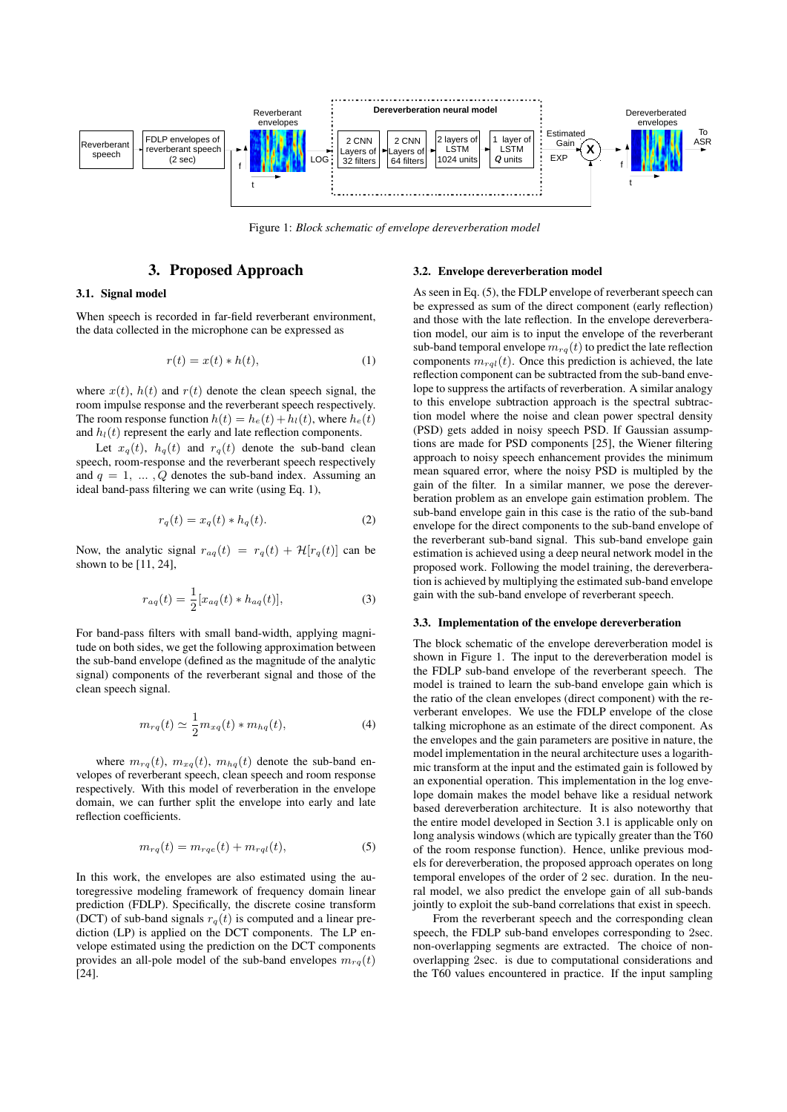

Figure 1: *Block schematic of envelope dereverberation model*

### 3. Proposed Approach

### 3.1. Signal model

When speech is recorded in far-field reverberant environment, the data collected in the microphone can be expressed as

$$
r(t) = x(t) * h(t),
$$
\n<sup>(1)</sup>

where  $x(t)$ ,  $h(t)$  and  $r(t)$  denote the clean speech signal, the room impulse response and the reverberant speech respectively. The room response function  $h(t) = h_e(t) + h_l(t)$ , where  $h_e(t)$ and  $h_l(t)$  represent the early and late reflection components.

Let  $x_a(t)$ ,  $h_a(t)$  and  $r_a(t)$  denote the sub-band clean speech, room-response and the reverberant speech respectively and  $q = 1, \ldots, Q$  denotes the sub-band index. Assuming an ideal band-pass filtering we can write (using Eq. 1),

$$
r_q(t) = x_q(t) * h_q(t). \tag{2}
$$

Now, the analytic signal  $r_{aq}(t) = r_q(t) + \mathcal{H}[r_q(t)]$  can be shown to be [11, 24],

$$
r_{aq}(t) = \frac{1}{2} [x_{aq}(t) * h_{aq}(t)],
$$
\n(3)

For band-pass filters with small band-width, applying magnitude on both sides, we get the following approximation between the sub-band envelope (defined as the magnitude of the analytic signal) components of the reverberant signal and those of the clean speech signal.

$$
m_{rq}(t) \simeq \frac{1}{2} m_{xq}(t) * m_{hq}(t), \qquad (4)
$$

where  $m_{rq}(t)$ ,  $m_{xq}(t)$ ,  $m_{hq}(t)$  denote the sub-band envelopes of reverberant speech, clean speech and room response respectively. With this model of reverberation in the envelope domain, we can further split the envelope into early and late reflection coefficients.

$$
m_{rq}(t) = m_{rqe}(t) + m_{rql}(t),
$$
\n<sup>(5)</sup>

In this work, the envelopes are also estimated using the autoregressive modeling framework of frequency domain linear prediction (FDLP). Specifically, the discrete cosine transform (DCT) of sub-band signals  $r_a(t)$  is computed and a linear prediction (LP) is applied on the DCT components. The LP envelope estimated using the prediction on the DCT components provides an all-pole model of the sub-band envelopes  $m_{rq}(t)$ [24].

#### 3.2. Envelope dereverberation model

As seen in Eq. (5), the FDLP envelope of reverberant speech can be expressed as sum of the direct component (early reflection) and those with the late reflection. In the envelope dereverberation model, our aim is to input the envelope of the reverberant sub-band temporal envelope  $m_{rq}(t)$  to predict the late reflection components  $m_{\text{rel}}(t)$ . Once this prediction is achieved, the late reflection component can be subtracted from the sub-band envelope to suppress the artifacts of reverberation. A similar analogy to this envelope subtraction approach is the spectral subtraction model where the noise and clean power spectral density (PSD) gets added in noisy speech PSD. If Gaussian assumptions are made for PSD components [25], the Wiener filtering approach to noisy speech enhancement provides the minimum mean squared error, where the noisy PSD is multipled by the gain of the filter. In a similar manner, we pose the dereverberation problem as an envelope gain estimation problem. The sub-band envelope gain in this case is the ratio of the sub-band envelope for the direct components to the sub-band envelope of the reverberant sub-band signal. This sub-band envelope gain estimation is achieved using a deep neural network model in the proposed work. Following the model training, the dereverberation is achieved by multiplying the estimated sub-band envelope gain with the sub-band envelope of reverberant speech.

#### 3.3. Implementation of the envelope dereverberation

The block schematic of the envelope dereverberation model is shown in Figure 1. The input to the dereverberation model is the FDLP sub-band envelope of the reverberant speech. The model is trained to learn the sub-band envelope gain which is the ratio of the clean envelopes (direct component) with the reverberant envelopes. We use the FDLP envelope of the close talking microphone as an estimate of the direct component. As the envelopes and the gain parameters are positive in nature, the model implementation in the neural architecture uses a logarithmic transform at the input and the estimated gain is followed by an exponential operation. This implementation in the log envelope domain makes the model behave like a residual network based dereverberation architecture. It is also noteworthy that the entire model developed in Section 3.1 is applicable only on long analysis windows (which are typically greater than the T60 of the room response function). Hence, unlike previous models for dereverberation, the proposed approach operates on long temporal envelopes of the order of 2 sec. duration. In the neural model, we also predict the envelope gain of all sub-bands jointly to exploit the sub-band correlations that exist in speech.

From the reverberant speech and the corresponding clean speech, the FDLP sub-band envelopes corresponding to 2sec. non-overlapping segments are extracted. The choice of nonoverlapping 2sec. is due to computational considerations and the T60 values encountered in practice. If the input sampling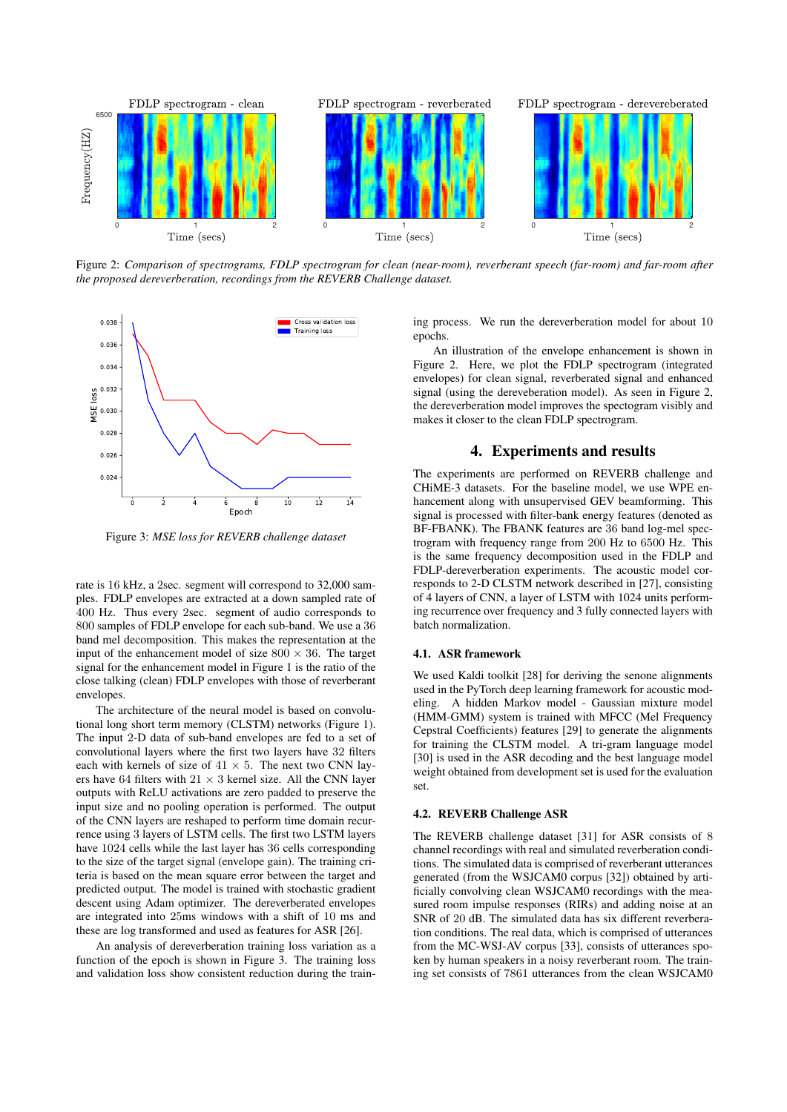

Figure 2: *Comparison of spectrograms, FDLP spectrogram for clean (near-room), reverberant speech (far-room) and far-room after the proposed dereverberation, recordings from the REVERB Challenge dataset.*



Figure 3: *MSE loss for REVERB challenge dataset*

rate is 16 kHz, a 2sec. segment will correspond to 32,000 samples. FDLP envelopes are extracted at a down sampled rate of 400 Hz. Thus every 2sec. segment of audio corresponds to 800 samples of FDLP envelope for each sub-band. We use a 36 band mel decomposition. This makes the representation at the input of the enhancement model of size  $800 \times 36$ . The target signal for the enhancement model in Figure 1 is the ratio of the close talking (clean) FDLP envelopes with those of reverberant envelopes.

The architecture of the neural model is based on convolutional long short term memory (CLSTM) networks (Figure 1). The input 2-D data of sub-band envelopes are fed to a set of convolutional layers where the first two layers have 32 filters each with kernels of size of  $41 \times 5$ . The next two CNN layers have 64 filters with  $21 \times 3$  kernel size. All the CNN layer outputs with ReLU activations are zero padded to preserve the input size and no pooling operation is performed. The output of the CNN layers are reshaped to perform time domain recurrence using 3 layers of LSTM cells. The first two LSTM layers have 1024 cells while the last layer has 36 cells corresponding to the size of the target signal (envelope gain). The training criteria is based on the mean square error between the target and predicted output. The model is trained with stochastic gradient descent using Adam optimizer. The dereverberated envelopes are integrated into 25ms windows with a shift of 10 ms and these are log transformed and used as features for ASR [26].

An analysis of dereverberation training loss variation as a function of the epoch is shown in Figure 3. The training loss and validation loss show consistent reduction during the training process. We run the dereverberation model for about 10 epochs.

An illustration of the envelope enhancement is shown in Figure 2. Here, we plot the FDLP spectrogram (integrated envelopes) for clean signal, reverberated signal and enhanced signal (using the dereveberation model). As seen in Figure 2, the dereverberation model improves the spectogram visibly and makes it closer to the clean FDLP spectrogram.

### 4. Experiments and results

The experiments are performed on REVERB challenge and CHiME-3 datasets. For the baseline model, we use WPE enhancement along with unsupervised GEV beamforming. This signal is processed with filter-bank energy features (denoted as BF-FBANK). The FBANK features are 36 band log-mel spectrogram with frequency range from 200 Hz to 6500 Hz. This is the same frequency decomposition used in the FDLP and FDLP-dereverberation experiments. The acoustic model corresponds to 2-D CLSTM network described in [27], consisting of 4 layers of CNN, a layer of LSTM with 1024 units performing recurrence over frequency and 3 fully connected layers with batch normalization.

#### 4.1. ASR framework

We used Kaldi toolkit [28] for deriving the senone alignments used in the PyTorch deep learning framework for acoustic modeling. A hidden Markov model - Gaussian mixture model (HMM-GMM) system is trained with MFCC (Mel Frequency Cepstral Coefficients) features [29] to generate the alignments for training the CLSTM model. A tri-gram language model [30] is used in the ASR decoding and the best language model weight obtained from development set is used for the evaluation set.

### 4.2. REVERB Challenge ASR

The REVERB challenge dataset [31] for ASR consists of 8 channel recordings with real and simulated reverberation conditions. The simulated data is comprised of reverberant utterances generated (from the WSJCAM0 corpus [32]) obtained by artificially convolving clean WSJCAM0 recordings with the measured room impulse responses (RIRs) and adding noise at an SNR of 20 dB. The simulated data has six different reverberation conditions. The real data, which is comprised of utterances from the MC-WSJ-AV corpus [33], consists of utterances spoken by human speakers in a noisy reverberant room. The training set consists of 7861 utterances from the clean WSJCAM0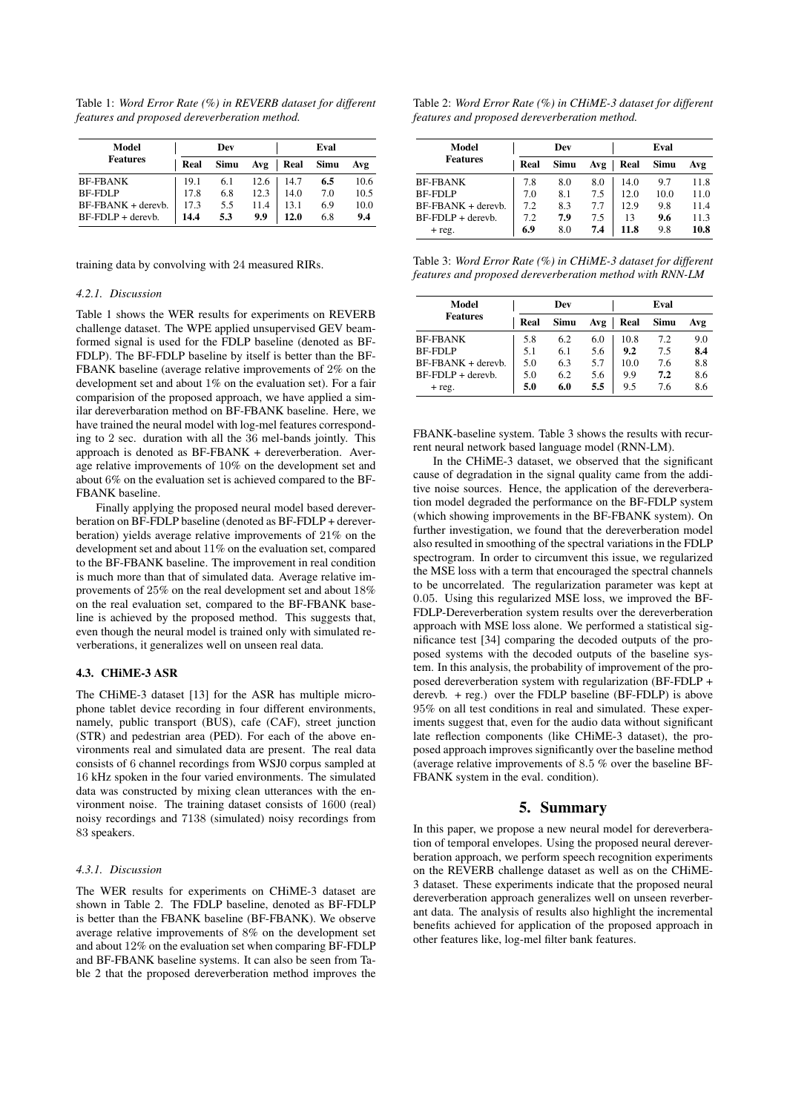Table 1: *Word Error Rate (%) in REVERB dataset for different features and proposed dereverberation method.*

| Model<br><b>Features</b> | Dev  |      |      | Eval |      |      |
|--------------------------|------|------|------|------|------|------|
|                          | Real | Simu | Avg  | Real | Simu | Avg  |
| <b>BF-FBANK</b>          | 19.1 | 6.1  | 12.6 | 14.7 | 6.5  | 10.6 |
| <b>BF-FDLP</b>           | 17.8 | 6.8  | 12.3 | 14.0 | 7.0  | 10.5 |
| $BF-FBANK + derevb.$     | 17.3 | 5.5  | 11.4 | 13.1 | 6.9  | 10.0 |
| $BF-FDLP +$ derevb.      | 14.4 | 5.3  | 9.9  | 12.0 | 6.8  | 9.4  |

training data by convolving with 24 measured RIRs.

#### *4.2.1. Discussion*

Table 1 shows the WER results for experiments on REVERB challenge dataset. The WPE applied unsupervised GEV beamformed signal is used for the FDLP baseline (denoted as BF-FDLP). The BF-FDLP baseline by itself is better than the BF-FBANK baseline (average relative improvements of 2% on the development set and about 1% on the evaluation set). For a fair comparision of the proposed approach, we have applied a similar dereverbaration method on BF-FBANK baseline. Here, we have trained the neural model with log-mel features corresponding to 2 sec. duration with all the 36 mel-bands jointly. This approach is denoted as BF-FBANK + dereverberation. Average relative improvements of 10% on the development set and about 6% on the evaluation set is achieved compared to the BF-FBANK baseline.

Finally applying the proposed neural model based dereverberation on BF-FDLP baseline (denoted as BF-FDLP + dereverberation) yields average relative improvements of 21% on the development set and about 11% on the evaluation set, compared to the BF-FBANK baseline. The improvement in real condition is much more than that of simulated data. Average relative improvements of 25% on the real development set and about 18% on the real evaluation set, compared to the BF-FBANK baseline is achieved by the proposed method. This suggests that, even though the neural model is trained only with simulated reverberations, it generalizes well on unseen real data.

#### 4.3. CHiME-3 ASR

The CHiME-3 dataset [13] for the ASR has multiple microphone tablet device recording in four different environments, namely, public transport (BUS), cafe (CAF), street junction (STR) and pedestrian area (PED). For each of the above environments real and simulated data are present. The real data consists of 6 channel recordings from WSJ0 corpus sampled at 16 kHz spoken in the four varied environments. The simulated data was constructed by mixing clean utterances with the environment noise. The training dataset consists of 1600 (real) noisy recordings and 7138 (simulated) noisy recordings from 83 speakers.

#### *4.3.1. Discussion*

The WER results for experiments on CHiME-3 dataset are shown in Table 2. The FDLP baseline, denoted as BF-FDLP is better than the FBANK baseline (BF-FBANK). We observe average relative improvements of 8% on the development set and about 12% on the evaluation set when comparing BF-FDLP and BF-FBANK baseline systems. It can also be seen from Table 2 that the proposed dereverberation method improves the

| Table 2: Word Error Rate $(\%)$ in CHiME-3 dataset for different |
|------------------------------------------------------------------|
| features and proposed dereverberation method.                    |

| Model<br><b>Features</b> | Dev  |      |     | Eval |      |      |
|--------------------------|------|------|-----|------|------|------|
|                          | Real | Simu | Avg | Real | Simu | Avg  |
| <b>BF-FBANK</b>          | 7.8  | 8.0  | 8.0 | 14.0 | 9.7  | 11.8 |
| <b>BF-FDLP</b>           | 7.0  | 8.1  | 7.5 | 12.0 | 10.0 | 11.0 |
| $BF-FBANK + derevb.$     | 7.2  | 8.3  | 7.7 | 12.9 | 9.8  | 11.4 |
| $BF-FDLP +$ derevb.      | 7.2  | 7.9  | 7.5 | 13   | 9.6  | 11.3 |
| $+$ reg.                 | 6.9  | 8.0  | 7.4 | 11.8 | 9.8  | 10.8 |

Table 3: *Word Error Rate (%) in CHiME-3 dataset for different features and proposed dereverberation method with RNN-LM*

| Model                | Dev  |      |     | Eval |      |     |  |
|----------------------|------|------|-----|------|------|-----|--|
| <b>Features</b>      | Real | Simu | Avg | Real | Simu | Avg |  |
| <b>BF-FBANK</b>      | 5.8  | 6.2  | 6.0 | 10.8 | 7.2  | 9.0 |  |
| <b>BF-FDLP</b>       | 5.1  | 6.1  | 5.6 | 9.2  | 7.5  | 8.4 |  |
| $BF-FBANK + derevb.$ | 5.0  | 6.3  | 5.7 | 10.0 | 7.6  | 8.8 |  |
| $BF-FDLP +$ derevb.  | 5.0  | 6.2  | 5.6 | 9.9  | 7.2  | 8.6 |  |
| $+$ reg.             | 5.0  | 6.0  | 5.5 | 9.5  | 7.6  | 8.6 |  |

FBANK-baseline system. Table 3 shows the results with recurrent neural network based language model (RNN-LM).

In the CHiME-3 dataset, we observed that the significant cause of degradation in the signal quality came from the additive noise sources. Hence, the application of the dereverberation model degraded the performance on the BF-FDLP system (which showing improvements in the BF-FBANK system). On further investigation, we found that the dereverberation model also resulted in smoothing of the spectral variations in the FDLP spectrogram. In order to circumvent this issue, we regularized the MSE loss with a term that encouraged the spectral channels to be uncorrelated. The regularization parameter was kept at 0.05. Using this regularized MSE loss, we improved the BF-FDLP-Dereverberation system results over the dereverberation approach with MSE loss alone. We performed a statistical significance test [34] comparing the decoded outputs of the proposed systems with the decoded outputs of the baseline system. In this analysis, the probability of improvement of the proposed dereverberation system with regularization (BF-FDLP + derevb. + reg.) over the FDLP baseline (BF-FDLP) is above 95% on all test conditions in real and simulated. These experiments suggest that, even for the audio data without significant late reflection components (like CHiME-3 dataset), the proposed approach improves significantly over the baseline method (average relative improvements of 8.5 % over the baseline BF-FBANK system in the eval. condition).

### 5. Summary

In this paper, we propose a new neural model for dereverberation of temporal envelopes. Using the proposed neural dereverberation approach, we perform speech recognition experiments on the REVERB challenge dataset as well as on the CHiME-3 dataset. These experiments indicate that the proposed neural dereverberation approach generalizes well on unseen reverberant data. The analysis of results also highlight the incremental benefits achieved for application of the proposed approach in other features like, log-mel filter bank features.